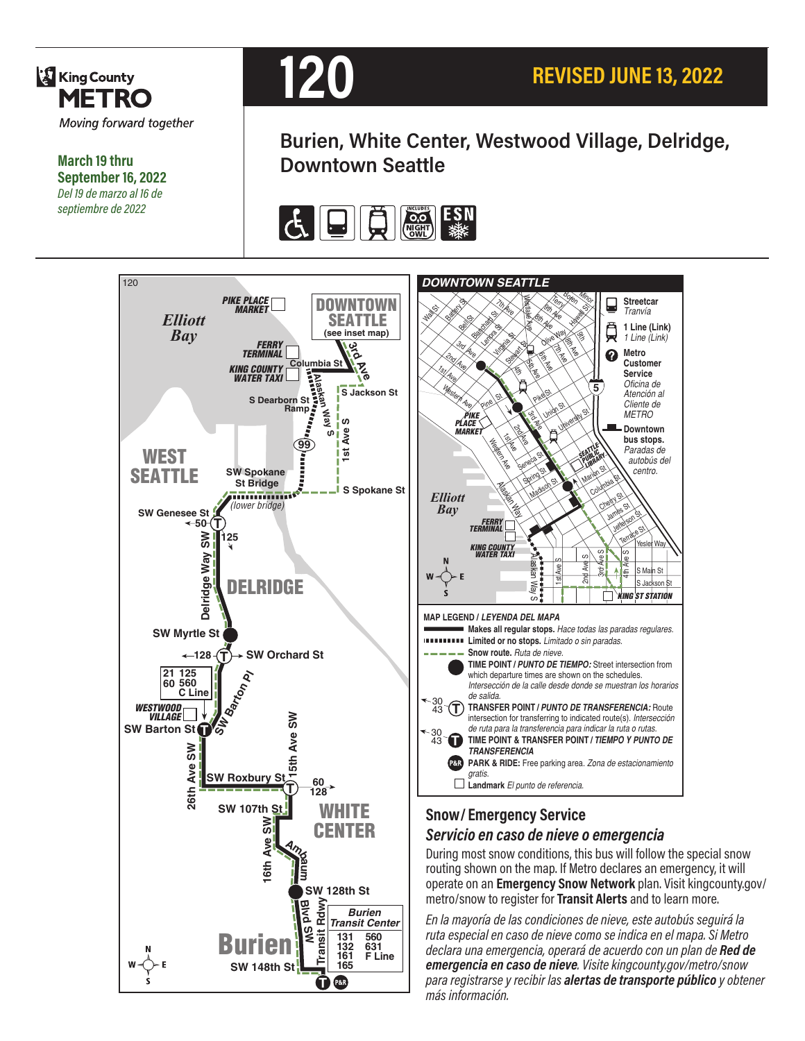

**March 19 thru September 16, 2022** *Del 19 de marzo al 16 de septiembre de 2022*



**Burien, White Center, Westwood Village, Delridge, Downtown Seattle**



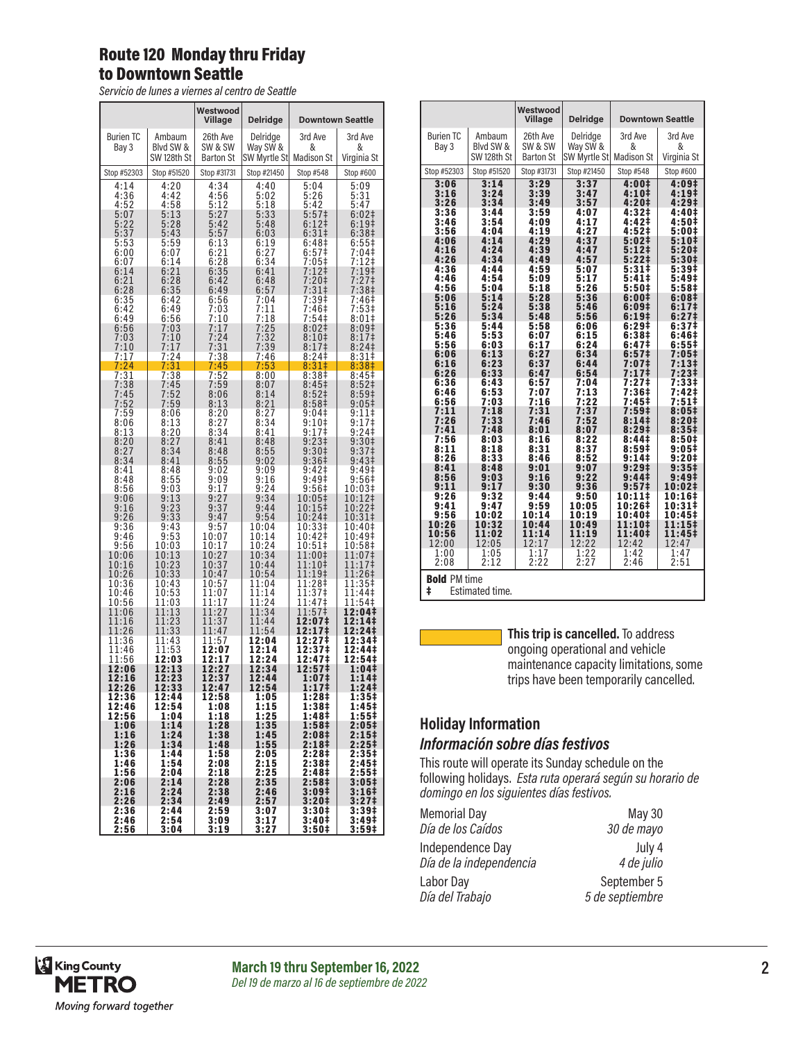### Route 120 Monday thru Friday to Downtown Seattle

*Servicio de lunes a viernes al centro de Seattle*

|                          |                | Westwood<br>Village | <b>Delridge</b>  |                            | <b>Downtown Seattle</b>      |
|--------------------------|----------------|---------------------|------------------|----------------------------|------------------------------|
| <b>Burien TC</b>         | Ambaum         | 26th Ave            | Delridge         | 3rd Ave                    | 3rd Ave                      |
| Bay 3                    | Blyd SW &      | SW & SW             | Way SW &         | &                          | &                            |
|                          | SW 128th St    | <b>Barton St</b>    | SW Myrtle St     | <b>Madison St</b>          | Virginia St                  |
| Stop #52303              | Stop #51520    | Stop #31731         | Stop #21450      | Stop #548                  | Stop #600                    |
| 4:14                     | 4:20           | 4:34                | 4:40             | 5:04                       | 5:09                         |
| 4:36                     | 4:42           | 4:56                | 5:02             | 5:26                       | 5:31                         |
| $4:52$<br>$5:07$         | 4:58<br>5:13   | 5:12<br>5:27        | 5:18<br>5:33     | 5:42<br>5:57‡              | 5:47<br>6:02‡                |
| 5:22                     | 5:28           | 5:42                | 5:48             | 6:12                       | 6:19 <sup>‡</sup>            |
| 5:37                     | 5:43           | 5:57                | 6:03             | $6:31\dagger$              | 6:38 <sup>‡</sup>            |
| 5:53                     | 5:59           | 6:13                | 6:19             | 6:48‡                      | 6:55‡                        |
| 6:00                     | 6:07           | 6:21                |                  | 6:57                       | $7:04$ ‡                     |
| 6:07                     | 6:14           | 6:28                | $6:27$<br>$6:34$ | 7:05‡                      | 7:12‡                        |
| 6:14                     | 6:21           | 6:35                | 6:41             | 7:12‡                      | 7:19‡                        |
| 6:21                     | 6:28           | 6:42                | 6:48             | $7:20+$                    | 7:27‡                        |
| 6:28                     | 6:35           | 6:49                | 6:57             | $7:31\pm$                  | 7:38 <sup>‡</sup>            |
| 6:35                     | 6:42           | 6:56                | 7:04             | 7:39‡                      | 7:46‡                        |
| 6:42                     | 6:49           | 7:03                | 7:11             | 7:46‡                      | 7:53‡                        |
| 6:49                     | 6:56           | 7:10                | 7:18             | 7:54‡                      | 8:01‡                        |
| 6:56                     | 7:03           | 7:17                | 7:25             | 8:02#                      | 8:09‡                        |
| 7:03                     | 7:10           | 7:24                | 7:32             | $8:10+$                    | 8:17‡                        |
| 7:10                     | 7:17           | 7:31                | 7:39             | 8:17‡                      | 8:24 <sup>‡</sup>            |
| 7:17                     | 7:24           | 7:38                | 7:46             | 8:24‡                      | 8:31‡                        |
| 7:24                     | 7:31           | 7:45                | 7:53             | 8:31#                      | 8:38‡                        |
| 7:31                     | 7:38           | 7:52                | 8:00             | 8:38 <sup>‡</sup>          | 8:45 <sup>‡</sup>            |
| 7:38                     | 7:45           | 7:59                | 8:07             | 8:45‡                      | 8:52 <sup>‡</sup>            |
| 7:45                     | 7:52           | 8:06                | 8:14             | 8:52 <sup>‡</sup>          | 8:59‡                        |
| 7:52                     | 7:59           | 8:13                | 8:21             | 8:58‡                      | 9:05‡                        |
| 7:59                     | 8:06           | 8:20                | 8:27             | 9:04‡                      | 9:11‡                        |
| 8:06                     | 8:13           | 8:27                | 8:34             | 9:10‡                      | 9:17‡                        |
| 8:13                     | 8:20           | 8:34<br>8:41        | 8:41<br>8:48     | 9:17‡                      | $9:24$ ‡                     |
| $8:20$<br>$8:27$<br>8:34 | 8:27<br>8:34   | 8:48                | 8:55             | 9:23‡<br>9:30‡             | $9:30+$<br>9:37 <sup>‡</sup> |
| 8:41                     | 8:41           | 8:55                | 9:02             | 9:36‡                      | 9:43‡                        |
|                          | 8:48           | 9:02                | 9:09             | 9:42‡                      | 9:49‡                        |
| 8:48                     | 8:55           | 9:09                | 9:16             | 9:49‡                      | 9:56‡                        |
| 8:56                     | 9:03           | 9:17                | 9:24             | 9:56‡                      | 10:03‡                       |
| 9:06                     | 9:13           | 9:27                | 9:34             | 10:05‡                     | 10:12‡                       |
| 9:16                     | 9:23           | 9:37                | 9:44             | 10:15‡                     | 10:22‡                       |
| 9:26                     | 9:33           | 9:47                | 9:54             | 10:24‡                     | 10:31‡                       |
| 9:36                     | 9:43           | 9:57                | 10:04            | 10:33‡                     | 10:40‡                       |
| 9:46                     | 9:53           | 10:07               | 10:14            | 10:42‡                     | 10:49‡                       |
| 9:56                     | 10:03          | 10:17               | 10:24            | 10:51‡                     | 10:58‡                       |
| 10:06                    | 10:13          | 10:27               | 10:34            | 11:00‡                     | 11:07‡                       |
| 10:16                    | 10:23          | 10:37               | 10:44            | 11:10‡                     | 11:17‡                       |
| 10:26                    | 10:33          | 10:47               | 10:54            | 11:19‡                     | 11:26‡                       |
| 10:36                    | 10:43          | 10:57               | 11:04            | 11:28‡                     | 11:35‡                       |
| 10:46                    | 10:53          | 11:07               | 11:14            | 11:37‡                     | 11:44‡                       |
| 10:56<br>11:06           | 11:03<br>11:13 | 11:17<br>1:27<br>1  | 11:24<br>11:34   | 11:47‡<br>11:57‡           | 11:54‡<br>12:04‡             |
| 11:16                    | 11:23          | 11:37               | 11:44            | 12:07‡                     | 12:14‡                       |
| 11:26                    | 11:33          | 11:47               | 11:54            | 12:17‡                     | 12:24‡                       |
| 11:36                    | 11:43          | 11:57               | 12:04            | 12:27‡                     | 12:34‡                       |
| 11:46                    | 11:53          | 12:07               | 12:14            | 12:37‡                     | 12:44‡                       |
| 11:56                    | 12:03          | 12:17               | 12:24            | 12:47‡                     | 12:54‡                       |
| 12:06                    | 12:13          | 12:27               | 12:34            | 12:57‡                     | 1:04‡                        |
| 12:16                    | 12:23          | 12:37               | 12:44            | 1:07‡                      | 1:141                        |
| 12:26                    | 12:33          | 12:47               | 12:54            | 1:17 <sup>‡</sup>          | 1:24‡                        |
| 12:36                    | 12:44          | 12:58               | 1:05             | 1:28‡                      | 1:35‡                        |
| 12:46                    | 12:54          | 1:08                | 1:15             | 1:38‡                      | 1:45‡                        |
| 12:56                    | 1:04<br>1:14   | 1:18<br>1:28        | 1:25             | 1:48‡<br>1:58 <sup>‡</sup> | 1:55‡                        |
| 1:06<br>1:16             | 1:24           | 1:38                | 1:35<br>1:45     | 2:08‡                      | 2:05‡<br>2:15‡               |
| 1:26                     | 1:34           | 1:48                | 1:55             | 2:18‡                      | 2:25‡                        |
| 1:36                     | 1:44           | 1:58                | 2:05             | 2:28‡                      | 2:35‡                        |
| 1:46                     | 1:54           | 2:08                | 2:15             | 2:38‡                      | 2:45‡                        |
| 1:56                     | 2:04           | 2:18                | 2:25             | 2:48 <sup>‡</sup>          | 2:55‡                        |
| 2:06                     | 2:14           | 2:28                | $\bar{2}:35$     | 2:58 <sup>‡</sup>          | 3:05‡                        |
| 2:16                     | 2:24           | 2:38                | 2:46             | 3:09‡                      | 3:16‡                        |
| 2:26                     | 2:34           | 2:49                | 2:57             | 3:20‡                      | 3:27 <sup>‡</sup>            |
| 2:36                     | 2:44           | 2:59                | 3:07             | 3:30‡                      | 3:39‡                        |
| 2:46                     | 2:54           | 3:09                | 3:17             | 3:40‡                      | 3:49 <sup>†</sup>            |
| 2:56                     | 3:04           | 3:19                | 3:27             | 3:50‡                      | 3:59‡                        |

|                                             |                                    | Westwood<br><b>Village</b>              | <b>Delridge</b>                      |                                   | <b>Downtown Seattle</b>          |
|---------------------------------------------|------------------------------------|-----------------------------------------|--------------------------------------|-----------------------------------|----------------------------------|
| <b>Burien TC</b><br>Bay 3                   | Ambaum<br>Blyd SW &<br>SW 128th St | 26th Ave<br>SW & SW<br><b>Barton St</b> | Delridge<br>Wav SW &<br>SW Myrtle St | 3rd Ave<br>&<br><b>Madison St</b> | 3rd Ave<br>&<br>Virginia St      |
| Stop #52303                                 | Stop #51520                        | Stop #31731                             | Stop #21450                          | Stop #548                         | Stop #600                        |
| 3:06<br>3:16<br>3:26                        | 3:14<br>3:24<br>3:34               | 3:29<br>3:39<br>3:49                    | 3:37<br>3:47<br>3:57                 | 4:001<br>4:10‡<br>4:20‡           | 4:09‡<br>4:19‡<br>4:29‡          |
| 3:36<br>3:46<br>3:56                        | 3:44<br>3:54<br>4:04               | 3:59<br>4:09<br>4:19                    | 4:07<br>4:17<br>4:27                 | 4:32‡<br>4:42‡<br>4:52‡           | 4:40‡<br>4:50‡<br>5:00‡          |
| 4:06<br>4:16<br>4:26                        | 4:14<br>4:24<br>4:34               | 4:29<br>4:39<br>4:49                    | 4:37<br>4:47<br>4:57                 | 5:02‡<br>$5:12$ ‡<br>5:22‡        | 5:10‡<br>5:20‡<br>5:30‡          |
| 4:36<br>4:46<br>4:56<br>5:06                | 4:44<br>4:54<br>5:04<br>5:14       | 4:59<br>5:09<br>5:18<br>5:28            | 5:07<br>5:17<br>5:26<br>5:36         | 5:31‡<br>5:41‡<br>5:50‡<br>6:00‡  | 5:39‡<br>5:49‡<br>5:58‡<br>6:08‡ |
| 5:16<br>5:26<br>5:36                        | 5:24<br>5:34<br>5:44               | 5:38<br>5:48<br>5:58                    | 5:46<br>5:56                         | 6:09‡<br>6:19‡<br>6:29#           | 6:17‡<br>6:27‡<br>6:37‡          |
| 5:46<br>5:56<br>6:06                        | 5:53<br>6:03<br>6:13               | 6:07<br>6:17<br>6:27                    | 6:06<br>6:15<br>6:24<br>6:34         | 6:38‡<br>6:47‡<br>6:57‡           | 6:46‡<br>6:55‡<br>7:05‡          |
| 6:16<br>6:26<br>6:36                        | 6:23<br>6:33<br>6:43               | 6:37<br>6:47<br>6:57                    | 6:44<br>6:54<br>7:04                 | 7:07‡<br>7:17‡<br>7:27‡           | 7:13‡<br>7:23‡<br>7:33‡          |
| 6:46<br>6:56<br>7:11                        | 6:53<br>7:03<br>7:18               | 7:07<br>7:16<br>7:31                    | 7:13<br>7:22<br>7:37                 | 7:36‡<br>7:45‡<br>7:59‡           | 7:42‡<br>7:51‡<br>8:05‡          |
| 7:26<br>7:41<br>7:56                        | 7:33<br>7:48<br>8:03               | 7:46<br>8:01<br>8:16                    | 7:52<br>8:07<br>8:22                 | 8:14‡<br>8:29‡<br>8:44‡           | 8:20‡<br>8:35#<br>8:50‡          |
| 8:11<br>8:26<br>8:41                        | 8:18<br>8:33<br>8:48               | 8:31<br>8:46<br>9:01                    | 8:37<br>8:52<br>9:07                 | 8:59‡<br>9:14‡<br>9:29‡           | 9:05‡<br>9:20‡<br>9:35‡          |
| 8:56<br>9:11<br>9:26                        | 9:03<br>9:17<br>9:32               | 9:16<br>9:30<br>9:44                    | 9:22<br>9:36<br>9:50                 | 9:44‡<br>9:57‡<br>10:11‡          | 9:49‡<br>10:02‡<br>10:16‡        |
| 9:41<br>9:56<br>10:26                       | 9:47<br>10:02<br>10:32             | 9:59<br>10:14<br>10:44                  | 10:05<br>10:19<br>10:49              | 10:26‡<br>10:40‡<br>11:10‡        | 10:31‡<br>10:45‡<br>1:15#<br>ı   |
| 10:56<br>12:00<br>1:00                      | 11:02<br>12:05<br>1:05             | 11:14<br>12:17<br>1:17                  | 11:19<br>12:22                       | 11:40‡<br>12:42<br>1:42           | 11:45‡<br>12:47<br>1:47          |
| 2:08                                        | 2:12                               | 2:22                                    | $\frac{1:22}{2:27}$                  | 2:46                              | 2:51                             |
| <b>Bold PM time</b><br>ŧ<br>Estimated time. |                                    |                                         |                                      |                                   |                                  |

**This trip is cancelled.** To address ongoing operational and vehicle maintenance capacity limitations, some trips have been temporarily cancelled.

#### **Holiday Information**

#### *Información sobre días festivos*

This route will operate its Sunday schedule on the following holidays. *Esta ruta operará según su horario de domingo en los siguientes días festivos.*

| <b>Memorial Day</b>     | <b>May 30</b>   |
|-------------------------|-----------------|
| Día de los Caídos       | 30 de mayo      |
| Independence Day        | July 4          |
| Día de la independencia | 4 de julio      |
| Labor Day               | September 5     |
| Día del Trabajo         | 5 de septiembre |

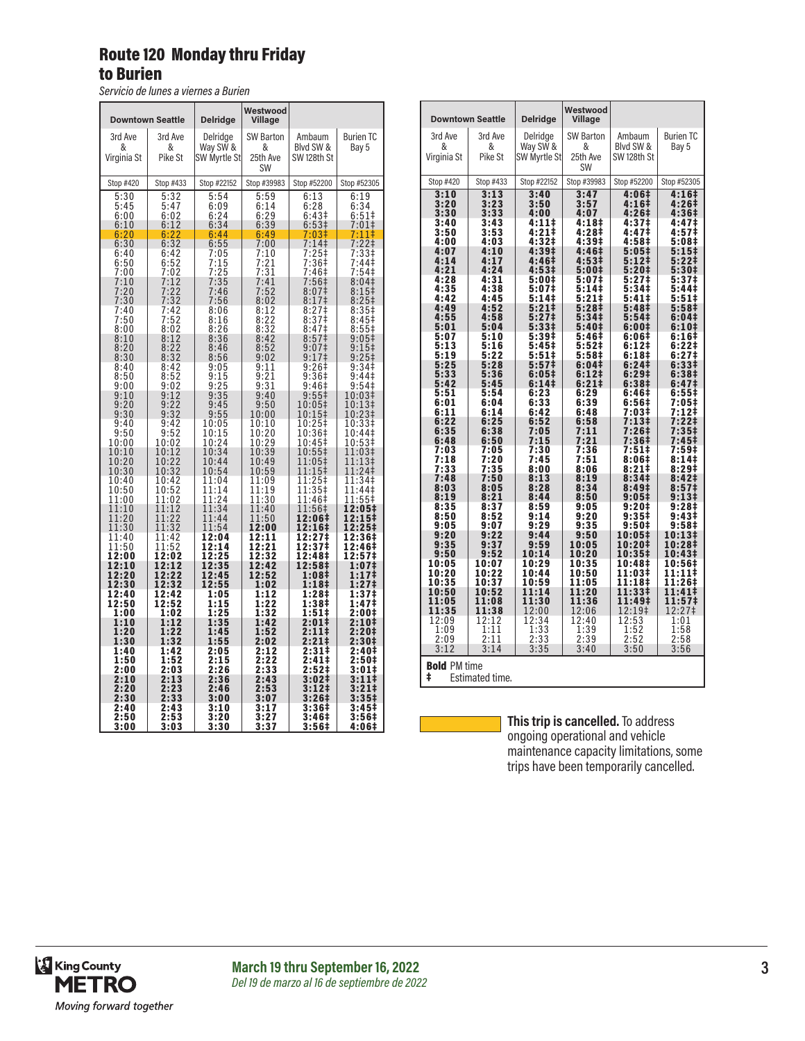## Route 120 Monday thru Friday to Burien

*Servicio de lunes a viernes a Burien*

| <b>Downtown Seattle</b>                                  |                                                                 | <b>Delridge</b>                                             | Westwood<br>Village                                  |                                                                                                 |                                                                                |
|----------------------------------------------------------|-----------------------------------------------------------------|-------------------------------------------------------------|------------------------------------------------------|-------------------------------------------------------------------------------------------------|--------------------------------------------------------------------------------|
| 3rd Ave<br>&<br>Virginia St                              | 3rd Ave<br>&<br>Pike St                                         | Delridge<br>Way SW &<br>SW Myrtle St                        | SW Barton<br>&<br>25th Ave<br><b>SW</b>              | Ambaum<br>Blyd SW &<br>SW 128th St                                                              | <b>Burien TC</b><br>Bay 5                                                      |
| Stop #420                                                | Stop #433                                                       | Stop #22152                                                 | Stop #39983                                          | Stop #52200                                                                                     | Stop #52305                                                                    |
| 5:30                                                     | 5:32                                                            | 5:54                                                        | 5:59                                                 | 6:13                                                                                            | 6:19                                                                           |
| 5:45                                                     | 5:47                                                            | 6:09                                                        | 6:14                                                 | 6:28                                                                                            | 6:34                                                                           |
| 6:00                                                     | 6:02                                                            | 6:24                                                        | 6:29                                                 | 6:43‡                                                                                           | $6:51\ddagger$                                                                 |
| 6:10                                                     | 6:12                                                            | 6:34                                                        | 6:39                                                 | 6:53‡                                                                                           | $7:01+$                                                                        |
| 6:20                                                     | 6:22                                                            | 6:44                                                        | 6:49                                                 | 7:03‡                                                                                           | 7:11‡                                                                          |
| 6:30                                                     | 6:32                                                            | 6:55                                                        | 7:00                                                 | 7:14                                                                                            | $7:22$ ‡                                                                       |
| 6:40<br>$6:50$<br>$7:00$<br>7:10<br>7:20<br>7:30<br>7:40 | 6:42<br>$6:52$<br>$7:02$<br>7:12<br>7:22<br>$\frac{7:32}{7:42}$ | 7:05<br>$\frac{7:15}{7:25}$<br>7:35<br>7:46<br>7:56<br>8:06 | 7:10<br>7:21<br>7:31<br>7:41<br>7:52<br>8:02<br>8:12 | 7:25‡<br>7:36‡<br>7:46‡<br>7:56‡<br>8:07 <sup>‡</sup><br>8:17 <sup>‡</sup><br>8:27 <sup>†</sup> | 7:33‡<br>7:44‡<br>7:54‡<br>8:04‡<br>$8:15$ ‡<br>$8:25+$<br>$8:35+$             |
| 7:50                                                     | $7:52$<br>8:02                                                  | 8:16                                                        | 8:22                                                 | 8:37‡                                                                                           | 8:45‡                                                                          |
| 8:00                                                     |                                                                 | 8:26                                                        | 8:32                                                 | 8:47‡                                                                                           | 8:55‡                                                                          |
| 8:10<br>8:20<br>8:30                                     | $\frac{8:12}{8:22}$<br>8:32                                     | 8:36<br>8:46<br>8:56                                        | 8:42<br>8:52<br>9:02                                 | 8:57 <sup>‡</sup><br>9:07‡<br>9:17‡                                                             | 9:05 <sup>‡</sup><br>9:15<br>$9:25$ ‡                                          |
| 8:40                                                     | 8:42                                                            | 9:05                                                        | 9:11                                                 | 9:26‡                                                                                           | 9:34‡                                                                          |
| 8:50                                                     | 8:52                                                            | 9:15                                                        | 9:21                                                 | 9:36‡                                                                                           | 9:44‡                                                                          |
| 9:00                                                     | 9:02                                                            | 9:25                                                        | 9:31                                                 | 9:46‡                                                                                           | 9:54‡                                                                          |
| 9:10                                                     | 9:12                                                            | 9:35                                                        | 9:40                                                 | $9:55\ddagger$                                                                                  | 10:03‡                                                                         |
| 9:20                                                     | 9:22                                                            | 9:45                                                        | 9:50                                                 | 10:05‡                                                                                          | 10:13‡                                                                         |
| 9:30                                                     | 9:32                                                            | 9:55                                                        | 10:00                                                | 10:15‡                                                                                          | 10:23‡                                                                         |
| 9:40                                                     | 9:42                                                            | 10:05                                                       | 10:10                                                | 10:25‡                                                                                          | 10:33‡                                                                         |
| 9:50<br>10:00<br>10:10<br>10:20<br>10:30                 | 9:52<br>10:02<br>10:12<br>10:22<br>10:32                        | 10:15<br>10:24<br>10:34<br>10:44<br>10:54                   | 10:20<br>10:29<br>10:39<br>10:49<br>10:59            | 10:36‡<br>10:45‡<br>10:55‡<br>11:05‡<br>11:15‡                                                  | 10:44‡<br>10:53‡<br>1:03 <sup>‡</sup><br>1<br>11:13‡<br>$\overline{1}$<br>1:24 |
| 10:40<br>10:50<br>11:00<br>11:10                         | 10:42<br>10:52<br>11:02<br>11:12                                | 11:04<br>11:14<br>1<br>$\frac{1:24}{1:34}$<br>1             | 11:09<br>11:19<br>11:30<br>11:40                     | 11:25‡<br>11:35‡<br>11:46‡<br>11:56‡                                                            | 11:34‡<br>11:44‡<br>$11:55‡$<br>12:05‡                                         |
| 11:20                                                    | 11:22                                                           | 11:44                                                       | 11:50                                                | 12:06‡                                                                                          | 12:15‡                                                                         |
| 11:30                                                    | 11:32                                                           | 11:54                                                       | 12:00                                                | 12:16‡                                                                                          | 12:25‡                                                                         |
| 11:40                                                    | 11:42<br>11:52                                                  | 12:04                                                       | 12:11                                                | 12:27‡                                                                                          | 12:36‡                                                                         |
| 11:50<br>12:00<br>12:10<br>12:20<br>12:30                | 12:02<br>12:12<br>12:22<br>12:32                                | 2:14<br>1<br>12:25<br>12:35<br>12:45<br>12:55               | 12:21<br>12:32<br>12:42<br>12:52<br>1:02             | 12:37 <sup>1</sup><br>12:48‡<br>12:58‡<br>1:08‡<br>1:18‡                                        | 12:46‡<br>12:57‡<br>1:07‡<br>1:17‡<br>1:27‡                                    |
| 12:40                                                    | 12:42                                                           | 1:05                                                        | 1:12                                                 | 1:28‡                                                                                           | 1:37‡                                                                          |
| 12:50                                                    | 12:52                                                           | 1:15                                                        | 1:22                                                 | 1:38‡                                                                                           | 1:47‡                                                                          |
| 1:00                                                     | 1:02                                                            | 1:25                                                        | 1:32                                                 | 1:51‡                                                                                           | 2:00‡                                                                          |
| 1:10                                                     | 1:12                                                            | 1:35                                                        | 1:42                                                 | 2:01‡                                                                                           | 2:10‡                                                                          |
| 1:20                                                     | 1:22                                                            | 1:45                                                        | 1:52                                                 | 2:11‡                                                                                           | 2:20‡                                                                          |
| 1:30                                                     | 1:32                                                            | 1:55                                                        | 2:02                                                 | 2:21‡                                                                                           | 2:30‡                                                                          |
| 1:40                                                     | 1:42                                                            | 2:05                                                        | 2:12                                                 | 2:31‡                                                                                           | 2:40‡                                                                          |
| 1:50                                                     | 1:52                                                            | 2:15                                                        | 2:22                                                 | 2:41‡                                                                                           | 2:50‡                                                                          |
| 2:00                                                     | 2:03                                                            | 2:26                                                        | $\bar{2}:\bar{3}\bar{3}$                             | 2:52‡                                                                                           | 3:01‡                                                                          |
| 2:10                                                     | 2:13                                                            | 2:36                                                        | 2:43                                                 | 3:02 <sup>‡</sup>                                                                               | 3:11‡                                                                          |
| 2:20                                                     | 2:23                                                            | 2:46                                                        | 2:53                                                 | 3:12‡                                                                                           | 3:21‡                                                                          |
| 2:30                                                     | 2:33                                                            | 3:00                                                        | 3:07                                                 | 3:26#                                                                                           | 3:35 <sup>‡</sup>                                                              |
| 2:40                                                     | 2:43                                                            | 3:10                                                        | 3:17                                                 | 3:36‡                                                                                           | 3:45‡                                                                          |
| 2:50                                                     | 2:53                                                            | 3:20                                                        | 3:27                                                 | 3:46‡                                                                                           | 3:56‡                                                                          |
| 3:00                                                     | 3:03                                                            | 3:30                                                        | 3:37                                                 | 3:56‡                                                                                           | 4:06‡                                                                          |

|                         |                 |                            | Westwood                   |                            |                            |
|-------------------------|-----------------|----------------------------|----------------------------|----------------------------|----------------------------|
| <b>Downtown Seattle</b> |                 | <b>Delridge</b>            | Village                    |                            |                            |
| 3rd Ave<br>&            | 3rd Ave<br>&    | Delridge                   | <b>SW Barton</b><br>&      | Ambaum<br>Blyd SW &        | <b>Burien TC</b>           |
| Virginia St             | Pike St         | Way SW &<br>SW Myrtle St   | 25th Ave                   | SW 128th St                | Bay 5                      |
|                         |                 |                            | SW                         |                            |                            |
| Stop #420               | Stop #433       | Stop #22152                | Stop #39983                | Stop #52200                | Stop #52305                |
| 3:10<br>3:20            | 3:13<br>3:23    | $3:40$<br>$3:50$           | $3:47$<br>$3:57$           | 4:06‡<br>4:16‡             | 4:16‡<br>4:26‡             |
| 3:30<br>3:40            | 3:33<br>3:43    | 4:00<br>4:111              | 4:07<br>4:18‡              | 4:26‡<br>4:37‡             | 4:36‡<br>4:47‡             |
| 3:50                    | 3:53            | 4:21‡                      | 4:28‡                      | 4:47‡                      | 4:57‡                      |
| 4:00<br>4:07            | 4:03<br>4:10    | 4:32‡<br>4:39‡             | 4:39‡<br>4:46‡             | 4:58‡<br>$5:05*$           | 5:08‡<br>5:15              |
| 4:14                    | 4:17            | 4:46‡                      | 4:53‡                      | $5:12$ ‡                   | 5:221                      |
| 4:21<br>4:28            | 4:24<br>4:31    | 4:53‡<br>5:00‡             | 5:00‡<br>5:07‡             | 5:20‡<br>5:27‡             | 5:30‡<br>5:37‡             |
| 4:35<br>4:42            | 4:38<br>4:45    | 5:07‡<br>5:14‡             | 5:14‡<br>5:21‡             | 5:34‡<br>5:41‡             | 5:44‡<br>5:51‡             |
| 4:49                    | 4:52            | 5:21‡                      | 5:28‡                      | 5:48‡                      | 5:58‡                      |
| 4:55<br>5:01            | 4:58<br>5:04    | 5:27 <sup>‡</sup><br>5:33‡ | 5:34‡<br>5:40‡             | 5:54‡<br>6:00‡             | 6:04‡<br>6:10‡             |
| 5:07                    | 5:10            | 5:39‡                      | 5:46‡                      | 6:06‡                      | 6:16‡                      |
| 5:13<br>5:19            | 5:16<br>5:22    | 5:45‡<br>5:51‡             | 5:52‡<br>5:58‡             | 6:12‡<br>6:18 <sup>‡</sup> | 6:22‡<br>6:27 <sup>1</sup> |
| 5:25                    | 5:28            | 5:57‡                      | 6:04‡                      | 6:241                      | 6:33‡                      |
| 5:33<br>5:42            | 5:36<br>5:45    | 6:05‡<br>6:14 <sup>‡</sup> | 6:12 <sup>‡</sup><br>6:21# | 6:29‡<br>6:38‡             | 6:38‡<br>6:47‡             |
| 5:51<br>6:01            | 5:54<br>6:04    | 6:23<br>6:33               | 6:29                       | 6:46‡                      | 6:55‡<br>7:05‡             |
| 6:11                    | 6:14            | 6:42                       | 6:39<br>6:48               | 6:56‡<br>7:03‡             | 7:12‡                      |
| 6:22<br>6:35            | 6:25<br>6:38    | 6:52<br>7:05               | 6:58<br>7:11               | 7:13‡<br>$7:26+$           | 7:22‡<br>7:35‡             |
| 6:48                    | 6:50            | 7:15                       | 7:21                       | 7:36‡                      | 7:45‡                      |
| 7:03<br>7:18            | 7:05<br>7:20    | 7:30<br>7:45               | 7:36<br>7:51               | 7:51‡<br>8:06‡             | 7:59‡<br>8:141             |
| 7:33                    | 7:35            | 8:00                       | 8:06                       | 8:21‡                      | 8:29‡                      |
| 7:48<br>8:03            | 7:50<br>8:05    | 8:13<br>8:28               | 8:19<br>8:34               | 8:34‡<br>8:49‡             | 8:42‡<br>8:57‡             |
| 8:19<br>8:35            | 8:21<br>8:37    | 8:44<br>8:59               | 8:50<br>9:05               | 9:05‡<br>9:20‡             | 9:13‡<br>9:28‡             |
| 8:50                    | 8:52            | 9:14                       | 9:20                       | 9:35‡                      | 9:43‡                      |
| 9:05<br>9:20            | 9:07<br>9:22    | 9:29<br>9:44               | 9:35<br>9:50               | 9:50‡<br>10:05‡            | 9:58‡<br>10:13‡            |
| 9:35                    | 9:37            | 9:59                       | 10:05                      | 10:20‡                     | 10:28‡                     |
| 9:50<br>10:05           | 9:52<br>10:07   | 10:14<br>10:29             | 10:20<br>10:35             | 10:35‡<br>10:48‡           | 10:43‡<br>10:56‡           |
| 10:20<br>10:35          | 10:22<br>10:37  | 10:44<br>10:59             | 10:50<br>11:05             | 11:03‡<br>11:18‡           | 11:11‡<br>11:26‡           |
| 10:50                   | 10:52           | 11:14                      | 11:20                      | 11:33‡                     | 11:41‡                     |
| 11:05<br>11:35          | 11:08<br>11:38  | 11:30                      | 11:36<br>12:06             | 11:49‡<br>12:19‡           | 11:57‡<br>12:27‡           |
| 12:09                   | 12:12           | 12:00<br>12:34             | 12:40                      | 12:53                      | 1:01                       |
| 1:09<br>2:09            | 1:11<br>2:11    | 1:33<br>2:33               | 1:39<br>2:39               | 1:52<br>2:52               | 1:58<br>2:58               |
| 3:12                    | 3:14            | 3:35                       | 3:40                       | 3:50                       | 3:56                       |
| <b>Bold PM time</b>     |                 |                            |                            |                            |                            |
| ŧ                       | Estimated time. |                            |                            |                            |                            |

**This trip is cancelled.** To address ongoing operational and vehicle maintenance capacity limitations, some trips have been temporarily cancelled.

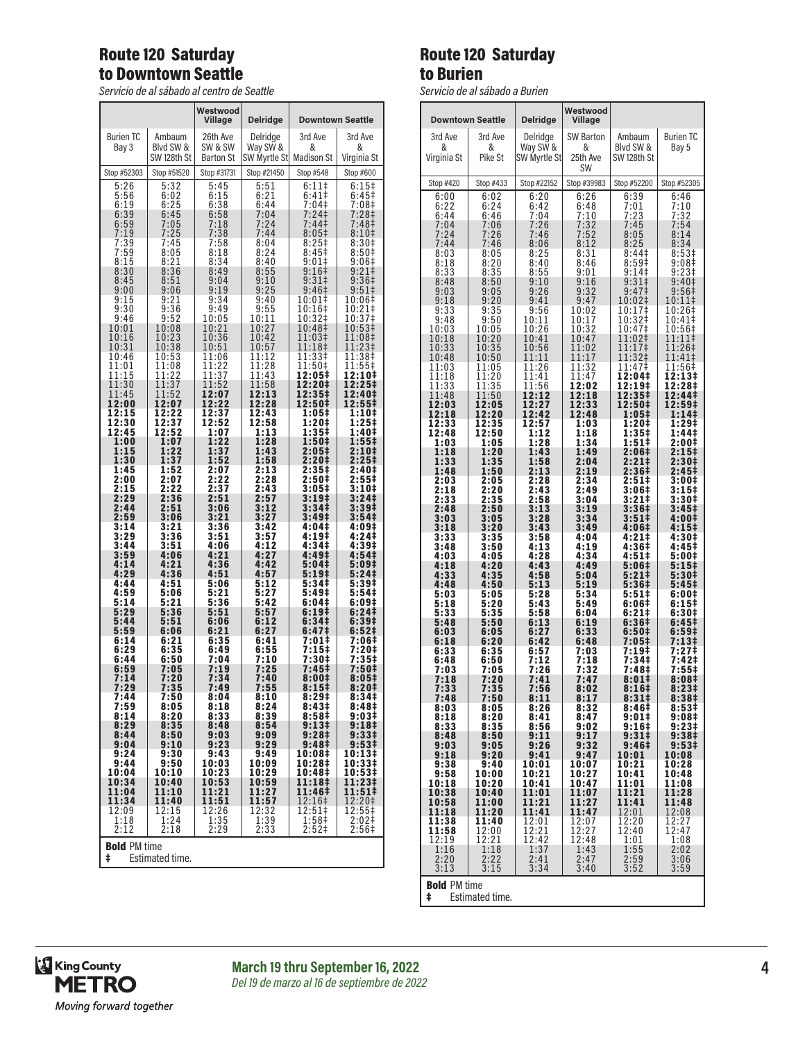# Route 120 Saturday to Downtown Seattle

*Servicio de al sábado al centro de Seattle*

|                     |                 | Westwood<br>Village | <b>Delridge</b>     | <b>Downtown Seattle</b>    |                               |
|---------------------|-----------------|---------------------|---------------------|----------------------------|-------------------------------|
| <b>Burien TC</b>    | Ambaum          | 26th Ave            | Delridge            | 3rd Ave                    | 3rd Ave                       |
| Bay 3               | Blyd SW &       | SW & SW             | Way SW &            | &                          | &                             |
|                     | SW 128th St     | <b>Barton St</b>    | SW Myrtle St        | <b>Madison St</b>          | Virginia St                   |
| Stop #52303         | Stop #51520     | Stop #31731         | Stop #21450         | Stop #548                  | Stop #600                     |
| 5:26                | 5:32            | 5:45                | 5:51                | 6:11                       | $6:15+$                       |
| 5:56                | 6:02            | 6:15                | 6:21                | 6:41‡                      | 6:45‡                         |
| 6:19                | 6:25            | 6:38                | 6:44                | 7:04‡                      | 7:08‡                         |
| 6:39                | 6:45            | 6:58                | 7:04                | 7:24‡                      | 7:28‡                         |
| $6:59$<br>$7:19$    | 7:05            | 7:18                | 7:24                | 7:44‡                      | 7:48‡                         |
| 7:39                | 7:25            | 7:38                | 7:44                | $8:05\ddagger$             | 8:10 <sup>‡</sup>             |
|                     | 7:45            | 7:58                | 8:04                | 8:25‡                      | 8:30‡                         |
| 7:59                | 8:05            | 8:18                | 8:24                | 8:45‡                      | 8:50 <sup>‡</sup>             |
| 8:15                | 8:21            | 8:34                | 8:40                | 9:01                       | 9:06#                         |
| 8:30                | 8:36            | 8:49                | 8:55                | 9:16‡                      | 9:21‡<br>9:36‡                |
| 8:45                | 8:51            | 9:04                | 9:10                | 9:31‡                      | 9:51‡                         |
| 9:00                | 9:06            | 9:19                | 9:25                | 9:46‡                      |                               |
| 9:15<br>9:30        | 9:21            | 9:34                | 9:40<br>9:55        | 10:01‡<br>10:16‡           | 10:06‡                        |
| 9:46                | 9:36<br>9:52    | 9:49<br>10:05       | 10:11               | 10:32‡                     | 10:21‡<br>10:37‡              |
| 10:01               | 10:08           | 10:21               | 10:27               | 10:48‡                     | 10:53‡                        |
| 10:16               | 10:23           | 10:36               | 10:42               | 11:03‡                     | 11:08‡                        |
| 10:31               | 10:38           | 10:51               | 10:57               | 11:18‡                     | 11:23‡                        |
| 10:46               | 10:53           | 11:06               | 11:12               | 11:33‡                     | 11:38‡                        |
| 11:01               | 11:08           | 11:22               | 11:28               | 11:50‡                     | 11:55‡                        |
| 11:15               | 11:22           | 11:37               | 11:43               | 12:05‡                     | 12:10‡                        |
| 11:30               | 11:37           | 11:52               | 11:58               | 12:20‡                     | 12:25‡                        |
| 11:45               | 11:52           | 12:07               | 12:13               | 12:35‡                     | 12:40‡                        |
| 12:00               | 12:07           | 12:22               | 12:28               | 12:50‡                     | 12:55‡                        |
| 12:15               | 12:22           | 12:37               | 12:43               | 1:05‡<br>1:20‡             | 1:10‡                         |
| 12:30               | 12:37           | 12:52               | 12:58               | 1:35‡                      | 1:25‡                         |
| 12:45               | 12:52           | 1:07                | 1:13                |                            | 1:40‡                         |
| 1:00                | 1:07            | 1:22                | 1:28                | 1:50‡                      | $1:55^{\ddagger}$             |
| 1:15                | 1:22            | 1:37                | 1:43                | 2:05‡                      | 2:10‡                         |
| 1:30                | 1:37            | 1:52                | 1:58                | 2:20‡                      | 2:25‡                         |
| 1:45                | 1:52            | 2:07                | 2:13                | 2:35‡                      | 2:40‡                         |
| 2:00                | 2:07            | 2:22                | 2:28                | 2:50‡                      | 2:55‡                         |
| 2:15                | 2:22            | 2:37                | 2:43                | 3:05‡                      | 3:10‡                         |
| 2:29                | 2:36            | 2:51                | 2:57                | 3:19‡                      | 3:24‡                         |
| 2:44                | 2:51            | 3:06                | $3:12$<br>$3:27$    | 3:34‡                      | 3:39‡                         |
| 2:59                | 3:06            | 3:21                |                     | 3:49‡                      | 3:54‡                         |
| 3:14                | 3:21            | 3:36                | 3:42                | 4:04‡                      | 4:09‡                         |
| 3:29                | 3:36            | 3:51                | 3:57                | $4:19+$                    | 4:24‡                         |
| 3:44                | 3:51            | 4:06                | 4:12                | 4:34‡                      | 4:39‡                         |
| 3:59                | 4:06            | 4:21                | 4:27                | 4:49‡                      | 4:54‡                         |
| 4:14                | 4:21            | 4:36                | 4:42                | 5:04‡                      | 5:09‡                         |
| 4:29                | 4:36            | 4:51                | 4:57                | 5:19‡                      | 5:24‡                         |
| 4:44                | 4:51            | 5:06                | 5:12                | 5:34‡                      | 5:39‡                         |
| 4:59                | 5:06            | 5:21                | 5:27                | 5:49‡                      | 5:54‡                         |
| 5:14                | 5:21            | 5:36                | 5:42                | 6:04‡                      | 6:09‡                         |
| 5:29                | 5:36            | 5:51                | 5:57                | 6:19‡                      | 6:24‡                         |
| 5:44                | 5:51            | 6:06                | 6:12                | 6:34‡                      | 6:39‡                         |
| 5:59                | 6:06            | 6:21                | 6:27                | 6:47 <sup>‡</sup>          | 6:52‡                         |
| 6:14                | 6:21            | 6:35                | 6:41                | 7:01‡                      | 7:06‡                         |
| 6:29                | 6:35            | 6:49                | 6:55                | 7:15‡                      | 7:20‡                         |
| 6:44                | 6:50            | 7:04                | 7:10                | 7:30‡                      | 7:35‡                         |
| 6:59                | 7:05            | 7:19                | 7:25                | 7:45‡                      | 7:50‡                         |
| 7:14                | 7:20            | 7:34                | 7:40                | 8:00‡                      | 8:05#                         |
| 7:29                | 7:35            | 7:49                | 7:55                | 8:151                      | 8:20#                         |
| 7:44                | 7:50            | 8:04                | 8:10                | 8:29‡                      | 8:34‡                         |
| 7:59                | 8:05            | 8:18                | 8:24                | 8:43‡                      | 8:48‡                         |
| 8:14                | 8:20            | 8:33                | 8:39                | 8:58‡                      | 9:03‡                         |
| 8:29                | 8:35            | 8:48                | 8:54                | 9:13 <sup>‡</sup>          | 9:18 <sup>‡</sup>             |
| 8:44                | 8:50            | 9:03                | 9:09                | 9:28 <sup>‡</sup>          | 9:33‡                         |
| 9:04                | 9:10            | 9:23                | 9:29                | 9:48‡                      | 9:53‡                         |
| 9:24                | 9:30            | 9:43                | 9:49                | 10:08‡                     | 10:13‡                        |
| 9:44                | 9:50            | 10:03               | 10:09               | 10:28‡                     | 10:33‡                        |
| 10:04               | 10:10           | 10:23               | 10:29               | 10:48‡                     | 10:53‡                        |
| 10:34               | 10:40           | 10:53               | 10:59               | 11:18‡                     | 11:23‡                        |
| 11:04               | 11:10           | 11:21               | 11:27               | 11:46‡                     | 11:51‡                        |
| 11:34               | 11:40           | 11:51               | 11:57               | 12:16‡                     | 12:20‡                        |
| 12:09               | 12:15           | 12:26               | 12:32               | 12:51‡                     | 12:55‡                        |
| 1:18<br>2:12        | 1:24<br>2:18    | $\frac{1:35}{2:29}$ | $\frac{1:39}{2:33}$ | 1:58‡<br>2:52 <sup>‡</sup> | $2:02$ ‡<br>2:56 <sup>‡</sup> |
| <b>Bold PM time</b> |                 |                     |                     |                            |                               |
| ŧ                   | Estimated time. |                     |                     |                            |                               |

## Route 120 Saturday to Burien

*Servicio de al sábado a Burien*

| Westwood                                    |                                      |                          |                            |                     |                            |  |
|---------------------------------------------|--------------------------------------|--------------------------|----------------------------|---------------------|----------------------------|--|
|                                             | <b>Downtown Seattle</b>              | Delridge                 | Village                    |                     |                            |  |
| 3rd Ave                                     | 3rd Ave                              | Delridge                 | <b>SW Barton</b>           | Ambaum<br>Blyd SW & | <b>Burien TC</b>           |  |
| &<br>Virginia St                            | &<br>Pike St                         | Way SW &<br>SW Myrtle St | &<br>25th Ave<br><b>SW</b> | SW 128th St         | Bay 5                      |  |
| Stop #420                                   | Stop #433                            | Stop #22152              | Stop #39983                | Stop #52200         | Stop #52305                |  |
| 6:00                                        | 6:02                                 | 6:20                     | 6:26                       | 6:39                | 6:46                       |  |
| 6:22                                        | 6:24                                 | 6:42                     | 6:48                       | 7:01                | 7:10                       |  |
| 6:44                                        | 6:46                                 | 7:04                     | 7:10                       | 7:23                | 7:32                       |  |
|                                             | 7:06                                 | 7:26                     | 7:32                       | 7:45                | 7:54                       |  |
| 7:04<br>7:24<br>7:44                        | 7:26<br>7:46                         | 7:46<br>8:06             | 7:52<br>8:12               | 8:05<br>8:25        | 8:14<br>8:34               |  |
| 8:03                                        | 8:05                                 | 8:25                     | 8:31                       | 8:44‡               | 8:53‡                      |  |
| 8:18                                        | 8:20                                 | 8:40                     | 8:46                       | 8:59‡               | 9:08‡                      |  |
| 8:33                                        | 8:35                                 | 8:55                     | 9:01                       | $9:14+$             | 9:23‡                      |  |
| 8:48                                        | 8:50                                 | 9:10                     | 9:16                       | 9:31‡               | 9:40‡                      |  |
| 9:03                                        | 9:05                                 | 9:26                     | 9:32                       | 9:47 <sup>‡</sup>   | 9:56‡                      |  |
| 9:18                                        | 9:20                                 | 9:41                     | 9:47                       | 10:02‡              | 10:11‡                     |  |
| 9:33                                        | 9:35                                 | 9:56                     | 10:02                      | 10:17‡              | 10:26‡                     |  |
| 9:48                                        | 9:50                                 | 10:11                    | 10:17                      | 10:32‡              | 10:41‡                     |  |
| 10:03                                       | 10:05                                | 10:26                    | 10:32                      | 10:47‡              | 10:56‡                     |  |
| 10:18                                       | 10:20                                | 10:41                    | 10:47                      | 11:02‡              | 11:11‡                     |  |
| 10:33                                       | 10:35                                | 10:56                    | 11:02                      | 11:17‡              | 11:26‡                     |  |
| 10:48                                       | 10:50                                | 11:11                    | 11:17                      | 11:32‡              | 11:41‡                     |  |
| 11:03                                       | 11:05                                | 11:26                    | 11:32                      | 11:47‡              | 11:56‡                     |  |
| 11:18                                       | 11:20                                | 11:41                    | 11:47                      | 12:04‡              | 12:13‡                     |  |
| 11:33                                       | 11:35                                | 11:56                    | 12:02                      | 12:19‡              | 12:28‡                     |  |
| 11:48                                       | 11:50                                | 12:12                    | 12:18                      | 12:35‡              | 12:44‡                     |  |
| 12:03                                       | 12:05                                | 12:27                    | 12:33                      | 12:50‡              | 12:59‡                     |  |
| 12:18                                       | 12:20                                | 12:42                    | 12:48                      | 1:05‡               | 1:14‡                      |  |
| 12:33                                       | 12:35                                | 12:57                    | 1:03                       | 1:20‡               | 1:29‡                      |  |
| 12:48                                       | 12:50                                | 1:12                     | 1:18                       | 1:35‡               | 1:44‡                      |  |
| 1:03                                        | 1:05                                 | 1:28                     | 1:34                       | 1:51‡               | 2:00‡                      |  |
| 1:18                                        | 1:20                                 | 1:43                     | 1:49                       | 2:06‡               | 2:15‡                      |  |
| 1:33                                        | 1:35                                 | 1:58                     | 2:04                       | 2:21‡               | 2:30‡                      |  |
| 1:48                                        | 1:50                                 | 2:13                     | 2:19                       | 2:36‡               | 2:45‡                      |  |
| 2:03                                        | 2:05                                 | 2:28                     | 2:34                       | 2:51‡               | 3:00‡                      |  |
| 2:18                                        | 2:20                                 | 2:43                     | 2:49                       | 3:06‡               | 3:15#                      |  |
| 2:33                                        | 2:35                                 | 2:58                     | 3:04                       | 3:21‡               | 3:30‡                      |  |
| 2:48                                        | 2:50                                 | 3:13                     | 3:19                       | 3:36‡               | 3:45‡                      |  |
| 3:03                                        | 3:05                                 | 3:28                     | 3:34                       | 3:51‡               | 4:00‡                      |  |
| 3:18                                        | 3:20                                 | 3:43                     | 3:49                       | 4:06‡               | 4:15‡                      |  |
| 3:33                                        | 3:35                                 | 3:58                     | 4:04                       | 4:21‡               | 4:30‡                      |  |
| 3:48                                        | 3:50                                 | 4:13                     | 4:19                       | 4:36‡               | 4:45‡                      |  |
| 4:03                                        | 4:05                                 | 4:28                     | 4:34                       | 4:51‡               | 5:00‡                      |  |
| 4:18                                        | 4:20                                 | 4:43                     | 4:49                       | 5:06‡               | 5:15‡                      |  |
| 4:33                                        | 4:35                                 | 4:58                     | 5:04                       | 5:21‡               | 5:30‡                      |  |
| 4:48                                        | 4:50                                 | 5:13                     | 5:19                       | 5:36‡               | 5:45‡                      |  |
| 5:03                                        | 5:05                                 | 5:28                     | 5:34                       | 5:51‡               | 6:00‡                      |  |
| 5:18                                        | 5:20                                 | 5:43                     | 5:49                       | 6:06‡               | 6:15‡                      |  |
| 5:33                                        | 5:35                                 | 5:58                     | 6:04                       | $6:21\pm$           | 6:30‡                      |  |
| 5:48                                        | 5:50                                 | 6:13                     | 6:19                       | 6:36‡               | 6:45‡                      |  |
| 6:03                                        | 6:05                                 | 6:27                     | 6:33                       | 6:50‡               | 6:59 <sup>‡</sup>          |  |
| 6:18                                        | 6:20                                 | 6:42                     | 6:48                       | 7:05‡               | 7:13‡                      |  |
| 6:33                                        | 6:35                                 | 6:57                     | 7:03                       | 7:19‡               | 7:27‡                      |  |
| 6:48                                        | 6:50                                 | 7:12                     | 7:18                       | 7:34‡               | 7:42‡                      |  |
| 7:03                                        | 7:05                                 | 7:26                     | 7:32                       | 7:48‡               | 7:55‡                      |  |
| 7:18                                        | 7:20                                 | 7:41                     | 7:47                       | 8:01‡               | 8:08‡                      |  |
| 7:33                                        | 7:35                                 | 7:56                     | 8:02                       | 8:16‡               | 8:23‡                      |  |
| 7:48                                        | 7:50                                 | 8:11                     | 8:17                       | 8:311               | 8:38#                      |  |
| 8:03                                        | 8:05                                 | 8:26                     | 8:32                       | 8:46‡               | 8:53‡                      |  |
| 8:18                                        | 8:20                                 | 8:41                     | 8:47                       | 9:01‡               | 9:08‡                      |  |
| 8:33                                        | 8:35                                 | 8:56                     | 9:02                       | 9:16 <sup>‡</sup>   | 9:23‡                      |  |
| 8:48                                        | 8:50                                 | 9:11                     | 9:17                       | 9:31‡               | 9:38‡                      |  |
| 9:03<br>9:18                                | 9:05<br>9:20                         | 9:26                     | 9:32<br>9:47               | 9:46‡               | 9:53 <sup>‡</sup><br>10:08 |  |
| 9:38                                        | 9:40                                 | 9:41<br>10:01            | 10:07                      | 10:01<br>10:21      | 10:28                      |  |
| 9:58                                        | 10:00                                | 10:21                    | 10:27                      | 10:41               | 10:48                      |  |
| 10:18                                       | 10:20                                | 10:41                    | 10:47                      | 11:01               | 11:08                      |  |
| 10:38                                       | 10:40                                | 11:01                    | 11:07                      | 11:21               | 11:28                      |  |
| 10:58                                       | 11:00                                | 11:21                    | 11:27                      | 11:41               | 11:48                      |  |
| 11:18                                       | 11:20                                | 11:41                    | 11:47                      | 12:01               | 12:08                      |  |
| 11:38                                       | 11:40                                | 12:01                    | 12:07                      | 12:20               | 12:27                      |  |
| 11:58                                       | 12:00                                | 12:21                    | 12:27                      | 12:40               | 12:47                      |  |
| 12:19                                       | 12:21                                | 12:42                    | 12:48                      | 1:01                | 1:08                       |  |
| 1:16                                        | 1:18                                 | 1:37                     | 1:43                       | 1:55                | 2:02                       |  |
| 2:20                                        | 2:22                                 | 2:41                     | 2:47                       | 2:59                | 3:06                       |  |
| 3:13                                        | 3:15<br>3:34<br>3:52<br>3:40<br>3:59 |                          |                            |                     |                            |  |
| <b>Bold PM time</b><br>Estimated time.<br>ŧ |                                      |                          |                            |                     |                            |  |